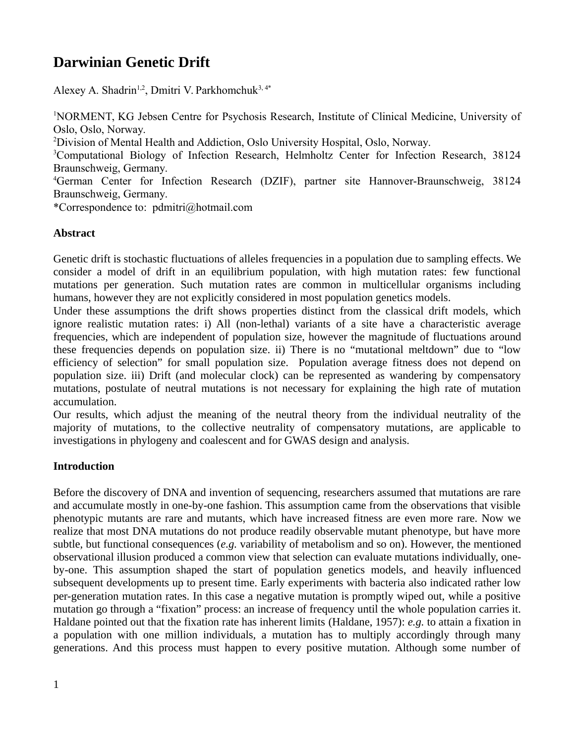# **Darwinian Genetic Drift**

Alexey A. Shadrin<sup>1,2</sup>, Dmitri V. Parkhomchuk<sup>3, 4\*</sup>

<sup>1</sup>NORMENT, KG Jebsen Centre for Psychosis Research, Institute of Clinical Medicine, University of Oslo, Oslo, Norway.

<sup>2</sup>Division of Mental Health and Addiction, Oslo University Hospital, Oslo, Norway.

<sup>3</sup>Computational Biology of Infection Research, Helmholtz Center for Infection Research, 38124 Braunschweig, Germany.

<sup>4</sup>German Center for Infection Research (DZIF), partner site Hannover-Braunschweig, 38124 Braunschweig, Germany.

\*Correspondence to: pdmitri@hotmail.com

## **Abstract**

Genetic drift is stochastic fluctuations of alleles frequencies in a population due to sampling effects. We consider a model of drift in an equilibrium population, with high mutation rates: few functional mutations per generation. Such mutation rates are common in multicellular organisms including humans, however they are not explicitly considered in most population genetics models.

Under these assumptions the drift shows properties distinct from the classical drift models, which ignore realistic mutation rates: i) All (non-lethal) variants of a site have a characteristic average frequencies, which are independent of population size, however the magnitude of fluctuations around these frequencies depends on population size. ii) There is no "mutational meltdown" due to "low efficiency of selection" for small population size. Population average fitness does not depend on population size. iii) Drift (and molecular clock) can be represented as wandering by compensatory mutations, postulate of neutral mutations is not necessary for explaining the high rate of mutation accumulation.

Our results, which adjust the meaning of the neutral theory from the individual neutrality of the majority of mutations, to the collective neutrality of compensatory mutations, are applicable to investigations in phylogeny and coalescent and for GWAS design and analysis.

## **Introduction**

Before the discovery of DNA and invention of sequencing, researchers assumed that mutations are rare and accumulate mostly in one-by-one fashion. This assumption came from the observations that visible phenotypic mutants are rare and mutants, which have increased fitness are even more rare. Now we realize that most DNA mutations do not produce readily observable mutant phenotype, but have more subtle, but functional consequences (*e.g.* variability of metabolism and so on). However, the mentioned observational illusion produced a common view that selection can evaluate mutations individually, oneby-one. This assumption shaped the start of population genetics models, and heavily influenced subsequent developments up to present time. Early experiments with bacteria also indicated rather low per-generation mutation rates. In this case a negative mutation is promptly wiped out, while a positive mutation go through a "fixation" process: an increase of frequency until the whole population carries it. Haldane pointed out that the fixation rate has inherent limits (Haldane, 1957): *e.g.* to attain a fixation in a population with one million individuals, a mutation has to multiply accordingly through many generations. And this process must happen to every positive mutation. Although some number of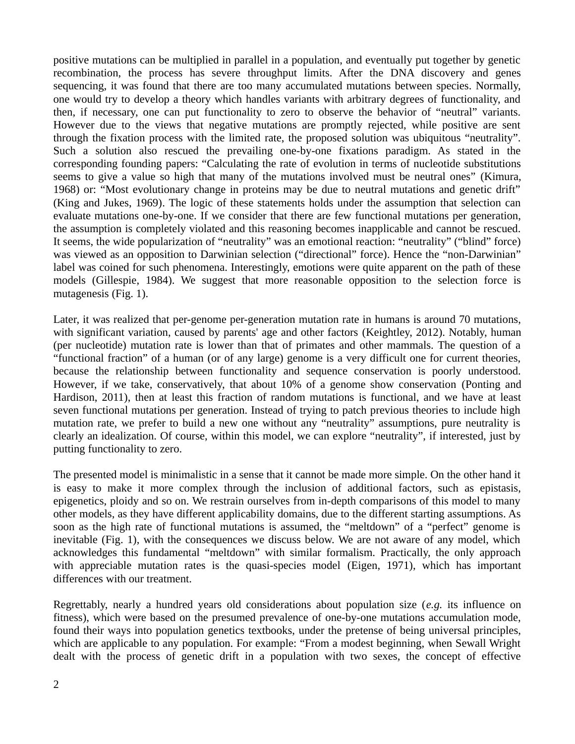positive mutations can be multiplied in parallel in a population, and eventually put together by genetic recombination, the process has severe throughput limits. After the DNA discovery and genes sequencing, it was found that there are too many accumulated mutations between species. Normally, one would try to develop a theory which handles variants with arbitrary degrees of functionality, and then, if necessary, one can put functionality to zero to observe the behavior of "neutral" variants. However due to the views that negative mutations are promptly rejected, while positive are sent through the fixation process with the limited rate, the proposed solution was ubiquitous "neutrality". Such a solution also rescued the prevailing one-by-one fixations paradigm. As stated in the corresponding founding papers: "Calculating the rate of evolution in terms of nucleotide substitutions seems to give a value so high that many of the mutations involved must be neutral ones" (Kimura, 1968) or: "Most evolutionary change in proteins may be due to neutral mutations and genetic drift" (King and Jukes, 1969). The logic of these statements holds under the assumption that selection can evaluate mutations one-by-one. If we consider that there are few functional mutations per generation, the assumption is completely violated and this reasoning becomes inapplicable and cannot be rescued. It seems, the wide popularization of "neutrality" was an emotional reaction: "neutrality" ("blind" force) was viewed as an opposition to Darwinian selection ("directional" force). Hence the "non-Darwinian" label was coined for such phenomena. Interestingly, emotions were quite apparent on the path of these models (Gillespie, 1984). We suggest that more reasonable opposition to the selection force is mutagenesis (Fig. 1).

Later, it was realized that per-genome per-generation mutation rate in humans is around 70 mutations, with significant variation, caused by parents' age and other factors (Keightley, 2012). Notably, human (per nucleotide) mutation rate is lower than that of primates and other mammals. The question of a "functional fraction" of a human (or of any large) genome is a very difficult one for current theories, because the relationship between functionality and sequence conservation is poorly understood. However, if we take, conservatively, that about 10% of a genome show conservation (Ponting and Hardison, 2011), then at least this fraction of random mutations is functional, and we have at least seven functional mutations per generation. Instead of trying to patch previous theories to include high mutation rate, we prefer to build a new one without any "neutrality" assumptions, pure neutrality is clearly an idealization. Of course, within this model, we can explore "neutrality", if interested, just by putting functionality to zero.

The presented model is minimalistic in a sense that it cannot be made more simple. On the other hand it is easy to make it more complex through the inclusion of additional factors, such as epistasis, epigenetics, ploidy and so on. We restrain ourselves from in-depth comparisons of this model to many other models, as they have different applicability domains, due to the different starting assumptions. As soon as the high rate of functional mutations is assumed, the "meltdown" of a "perfect" genome is inevitable (Fig. 1), with the consequences we discuss below. We are not aware of any model, which acknowledges this fundamental "meltdown" with similar formalism. Practically, the only approach with appreciable mutation rates is the quasi-species model (Eigen, 1971), which has important differences with our treatment.

Regrettably, nearly a hundred years old considerations about population size (*e.g.* its influence on fitness), which were based on the presumed prevalence of one-by-one mutations accumulation mode, found their ways into population genetics textbooks, under the pretense of being universal principles, which are applicable to any population. For example: "From a modest beginning, when Sewall Wright dealt with the process of genetic drift in a population with two sexes, the concept of effective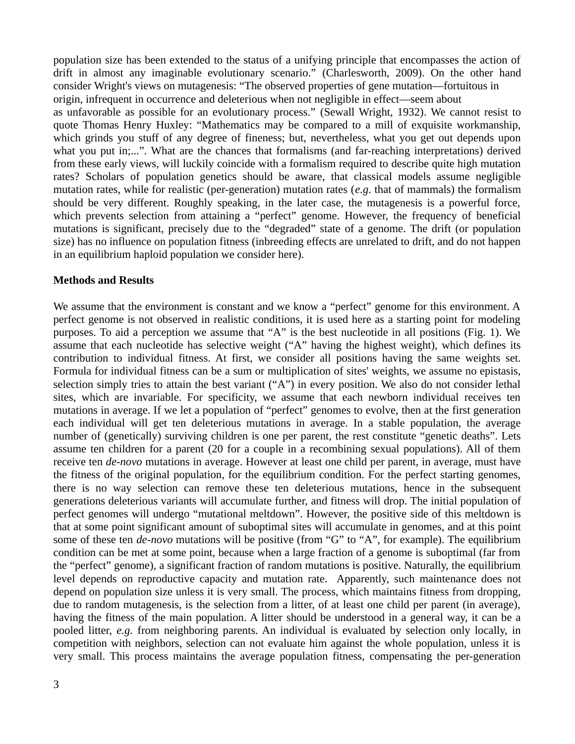population size has been extended to the status of a unifying principle that encompasses the action of drift in almost any imaginable evolutionary scenario." (Charlesworth, 2009). On the other hand consider Wright's views on mutagenesis: "The observed properties of gene mutation—fortuitous in origin, infrequent in occurrence and deleterious when not negligible in effect—seem about as unfavorable as possible for an evolutionary process." (Sewall Wright, 1932). We cannot resist to quote Thomas Henry Huxley: "Mathematics may be compared to a mill of exquisite workmanship, which grinds you stuff of any degree of fineness; but, nevertheless, what you get out depends upon what you put in;...". What are the chances that formalisms (and far-reaching interpretations) derived from these early views, will luckily coincide with a formalism required to describe quite high mutation rates? Scholars of population genetics should be aware, that classical models assume negligible mutation rates, while for realistic (per-generation) mutation rates (*e.g.* that of mammals) the formalism should be very different. Roughly speaking, in the later case, the mutagenesis is a powerful force, which prevents selection from attaining a "perfect" genome. However, the frequency of beneficial mutations is significant, precisely due to the "degraded" state of a genome. The drift (or population size) has no influence on population fitness (inbreeding effects are unrelated to drift, and do not happen in an equilibrium haploid population we consider here).

#### **Methods and Results**

We assume that the environment is constant and we know a "perfect" genome for this environment. A perfect genome is not observed in realistic conditions, it is used here as a starting point for modeling purposes. To aid a perception we assume that "A" is the best nucleotide in all positions (Fig. 1). We assume that each nucleotide has selective weight ("A" having the highest weight), which defines its contribution to individual fitness. At first, we consider all positions having the same weights set. Formula for individual fitness can be a sum or multiplication of sites' weights, we assume no epistasis, selection simply tries to attain the best variant ("A") in every position. We also do not consider lethal sites, which are invariable. For specificity, we assume that each newborn individual receives ten mutations in average. If we let a population of "perfect" genomes to evolve, then at the first generation each individual will get ten deleterious mutations in average. In a stable population, the average number of (genetically) surviving children is one per parent, the rest constitute "genetic deaths". Lets assume ten children for a parent (20 for a couple in a recombining sexual populations). All of them receive ten *de-novo* mutations in average. However at least one child per parent, in average, must have the fitness of the original population, for the equilibrium condition. For the perfect starting genomes, there is no way selection can remove these ten deleterious mutations, hence in the subsequent generations deleterious variants will accumulate further, and fitness will drop. The initial population of perfect genomes will undergo "mutational meltdown". However, the positive side of this meltdown is that at some point significant amount of suboptimal sites will accumulate in genomes, and at this point some of these ten *de-novo* mutations will be positive (from "G" to "A", for example). The equilibrium condition can be met at some point, because when a large fraction of a genome is suboptimal (far from the "perfect" genome), a significant fraction of random mutations is positive. Naturally, the equilibrium level depends on reproductive capacity and mutation rate. Apparently, such maintenance does not depend on population size unless it is very small. The process, which maintains fitness from dropping, due to random mutagenesis, is the selection from a litter, of at least one child per parent (in average), having the fitness of the main population. A litter should be understood in a general way, it can be a pooled litter, *e.g.* from neighboring parents. An individual is evaluated by selection only locally, in competition with neighbors, selection can not evaluate him against the whole population, unless it is very small. This process maintains the average population fitness, compensating the per-generation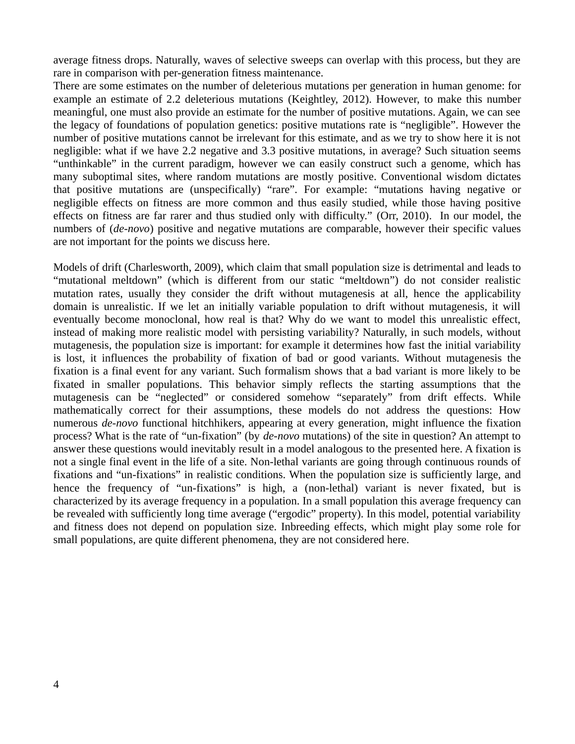average fitness drops. Naturally, waves of selective sweeps can overlap with this process, but they are rare in comparison with per-generation fitness maintenance.

There are some estimates on the number of deleterious mutations per generation in human genome: for example an estimate of 2.2 deleterious mutations (Keightley, 2012). However, to make this number meaningful, one must also provide an estimate for the number of positive mutations. Again, we can see the legacy of foundations of population genetics: positive mutations rate is "negligible". However the number of positive mutations cannot be irrelevant for this estimate, and as we try to show here it is not negligible: what if we have 2.2 negative and 3.3 positive mutations, in average? Such situation seems "unthinkable" in the current paradigm, however we can easily construct such a genome, which has many suboptimal sites, where random mutations are mostly positive. Conventional wisdom dictates that positive mutations are (unspecifically) "rare". For example: "mutations having negative or negligible effects on fitness are more common and thus easily studied, while those having positive effects on fitness are far rarer and thus studied only with difficulty." (Orr, 2010). In our model, the numbers of (*de-novo*) positive and negative mutations are comparable, however their specific values are not important for the points we discuss here.

Models of drift (Charlesworth, 2009), which claim that small population size is detrimental and leads to "mutational meltdown" (which is different from our static "meltdown") do not consider realistic mutation rates, usually they consider the drift without mutagenesis at all, hence the applicability domain is unrealistic. If we let an initially variable population to drift without mutagenesis, it will eventually become monoclonal, how real is that? Why do we want to model this unrealistic effect, instead of making more realistic model with persisting variability? Naturally, in such models, without mutagenesis, the population size is important: for example it determines how fast the initial variability is lost, it influences the probability of fixation of bad or good variants. Without mutagenesis the fixation is a final event for any variant. Such formalism shows that a bad variant is more likely to be fixated in smaller populations. This behavior simply reflects the starting assumptions that the mutagenesis can be "neglected" or considered somehow "separately" from drift effects. While mathematically correct for their assumptions, these models do not address the questions: How numerous *de-novo* functional hitchhikers, appearing at every generation, might influence the fixation process? What is the rate of "un-fixation" (by *de-novo* mutations) of the site in question? An attempt to answer these questions would inevitably result in a model analogous to the presented here. A fixation is not a single final event in the life of a site. Non-lethal variants are going through continuous rounds of fixations and "un-fixations" in realistic conditions. When the population size is sufficiently large, and hence the frequency of "un-fixations" is high, a (non-lethal) variant is never fixated, but is characterized by its average frequency in a population. In a small population this average frequency can be revealed with sufficiently long time average ("ergodic" property). In this model, potential variability and fitness does not depend on population size. Inbreeding effects, which might play some role for small populations, are quite different phenomena, they are not considered here.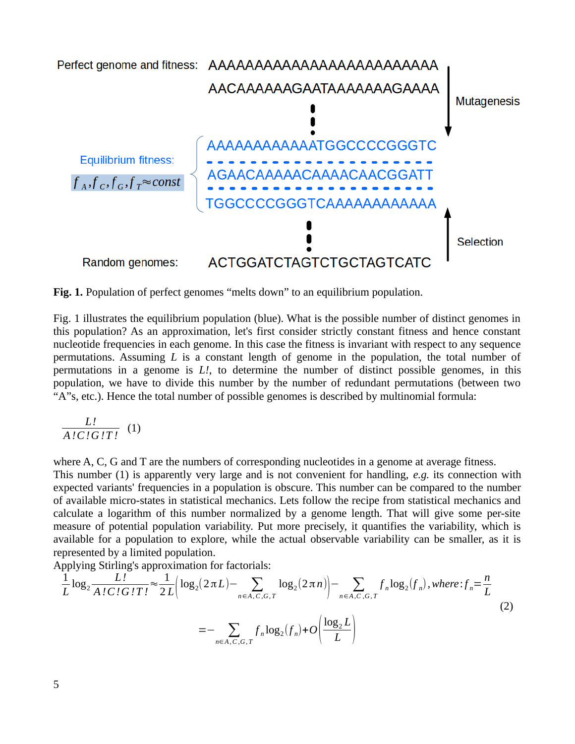

**Fig. 1.** Population of perfect genomes "melts down" to an equilibrium population.

Fig. 1 illustrates the equilibrium population (blue). What is the possible number of distinct genomes in this population? As an approximation, let's first consider strictly constant fitness and hence constant nucleotide frequencies in each genome. In this case the fitness is invariant with respect to any sequence permutations. Assuming *L* is a constant length of genome in the population, the total number of permutations in a genome is *L!*, to determine the number of distinct possible genomes, in this population, we have to divide this number by the number of redundant permutations (between two "A"s, etc.). Hence the total number of possible genomes is described by multinomial formula:

$$
\frac{L!}{A!C!G!T!}
$$
 (1)

where A, C, G and T are the numbers of corresponding nucleotides in a genome at average fitness.

This number (1) is apparently very large and is not convenient for handling, *e.g.* its connection with expected variants' frequencies in a population is obscure. This number can be compared to the number of available micro-states in statistical mechanics. Lets follow the recipe from statistical mechanics and calculate a logarithm of this number normalized by a genome length. That will give some per-site measure of potential population variability. Put more precisely, it quantifies the variability, which is available for a population to explore, while the actual observable variability can be smaller, as it is represented by a limited population.

Applying Stirling's approximation for factorials:

$$
\frac{1}{L}\log_2 \frac{L!}{A!C!G!T!} \approx \frac{1}{2L} \Big( \log_2(2\pi L) - \sum_{n \in A, C, G, T} \log_2(2\pi n) \Big) - \sum_{n \in A, C, G, T} f_n \log_2(f_n), \text{where: } f_n = \frac{n}{L}
$$
\n
$$
= - \sum_{n \in A, C, G, T} f_n \log_2(f_n) + O\left(\frac{\log_2 L}{L}\right)
$$
\n
$$
(2)
$$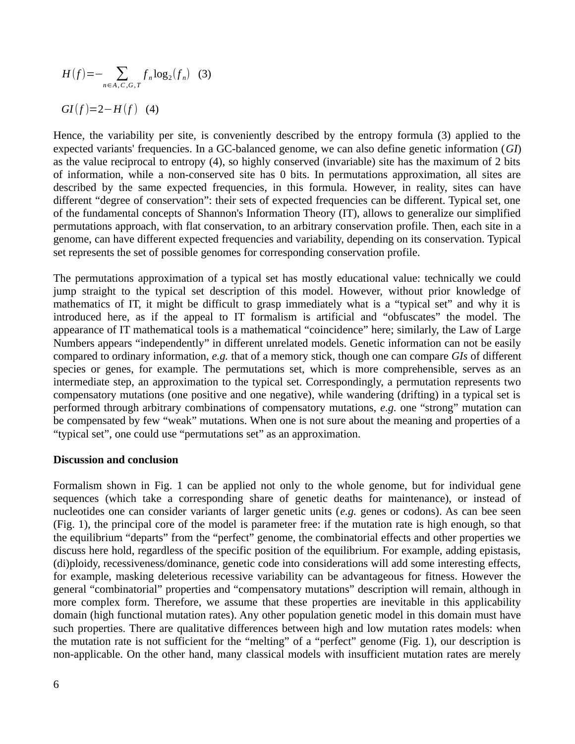$$
H(f) = -\sum_{n \in A, C, G, T} f_n \log_2(f_n)
$$
 (3)  
GI(f)=2-H(f) (4)

Hence, the variability per site, is conveniently described by the entropy formula (3) applied to the expected variants' frequencies. In a GC-balanced genome, we can also define genetic information (*GI*) as the value reciprocal to entropy (4), so highly conserved (invariable) site has the maximum of 2 bits of information, while a non-conserved site has 0 bits. In permutations approximation, all sites are described by the same expected frequencies, in this formula. However, in reality, sites can have different "degree of conservation": their sets of expected frequencies can be different. Typical set, one of the fundamental concepts of Shannon's Information Theory (IT), allows to generalize our simplified permutations approach, with flat conservation, to an arbitrary conservation profile. Then, each site in a genome, can have different expected frequencies and variability, depending on its conservation. Typical set represents the set of possible genomes for corresponding conservation profile.

The permutations approximation of a typical set has mostly educational value: technically we could jump straight to the typical set description of this model. However, without prior knowledge of mathematics of IT, it might be difficult to grasp immediately what is a "typical set" and why it is introduced here, as if the appeal to IT formalism is artificial and "obfuscates" the model. The appearance of IT mathematical tools is a mathematical "coincidence" here; similarly, the Law of Large Numbers appears "independently" in different unrelated models. Genetic information can not be easily compared to ordinary information, *e.g.* that of a memory stick, though one can compare *GIs* of different species or genes, for example. The permutations set, which is more comprehensible, serves as an intermediate step, an approximation to the typical set. Correspondingly, a permutation represents two compensatory mutations (one positive and one negative), while wandering (drifting) in a typical set is performed through arbitrary combinations of compensatory mutations, *e.g.* one "strong" mutation can be compensated by few "weak" mutations. When one is not sure about the meaning and properties of a "typical set", one could use "permutations set" as an approximation.

### **Discussion and conclusion**

Formalism shown in Fig. 1 can be applied not only to the whole genome, but for individual gene sequences (which take a corresponding share of genetic deaths for maintenance), or instead of nucleotides one can consider variants of larger genetic units (*e.g.* genes or codons). As can bee seen (Fig. 1), the principal core of the model is parameter free: if the mutation rate is high enough, so that the equilibrium "departs" from the "perfect" genome, the combinatorial effects and other properties we discuss here hold, regardless of the specific position of the equilibrium. For example, adding epistasis, (di)ploidy, recessiveness/dominance, genetic code into considerations will add some interesting effects, for example, masking deleterious recessive variability can be advantageous for fitness. However the general "combinatorial" properties and "compensatory mutations" description will remain, although in more complex form. Therefore, we assume that these properties are inevitable in this applicability domain (high functional mutation rates). Any other population genetic model in this domain must have such properties. There are qualitative differences between high and low mutation rates models: when the mutation rate is not sufficient for the "melting" of a "perfect" genome (Fig. 1), our description is non-applicable. On the other hand, many classical models with insufficient mutation rates are merely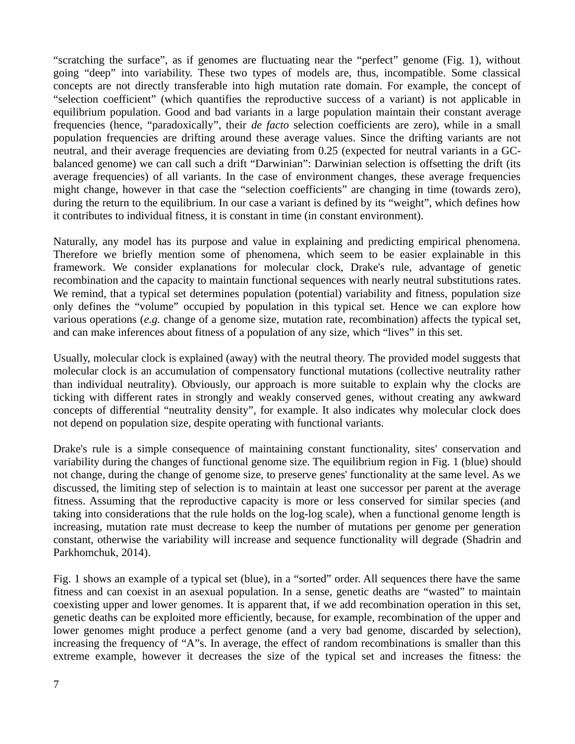"scratching the surface", as if genomes are fluctuating near the "perfect" genome (Fig. 1), without going "deep" into variability. These two types of models are, thus, incompatible. Some classical concepts are not directly transferable into high mutation rate domain. For example, the concept of "selection coefficient" (which quantifies the reproductive success of a variant) is not applicable in equilibrium population. Good and bad variants in a large population maintain their constant average frequencies (hence, "paradoxically", their *de facto* selection coefficients are zero), while in a small population frequencies are drifting around these average values. Since the drifting variants are not neutral, and their average frequencies are deviating from 0.25 (expected for neutral variants in a GCbalanced genome) we can call such a drift "Darwinian": Darwinian selection is offsetting the drift (its average frequencies) of all variants. In the case of environment changes, these average frequencies might change, however in that case the "selection coefficients" are changing in time (towards zero), during the return to the equilibrium. In our case a variant is defined by its "weight", which defines how it contributes to individual fitness, it is constant in time (in constant environment).

Naturally, any model has its purpose and value in explaining and predicting empirical phenomena. Therefore we briefly mention some of phenomena, which seem to be easier explainable in this framework. We consider explanations for molecular clock, Drake's rule, advantage of genetic recombination and the capacity to maintain functional sequences with nearly neutral substitutions rates. We remind, that a typical set determines population (potential) variability and fitness, population size only defines the "volume" occupied by population in this typical set. Hence we can explore how various operations (*e.g.* change of a genome size, mutation rate, recombination) affects the typical set, and can make inferences about fitness of a population of any size, which "lives" in this set.

Usually, molecular clock is explained (away) with the neutral theory. The provided model suggests that molecular clock is an accumulation of compensatory functional mutations (collective neutrality rather than individual neutrality). Obviously, our approach is more suitable to explain why the clocks are ticking with different rates in strongly and weakly conserved genes, without creating any awkward concepts of differential "neutrality density", for example. It also indicates why molecular clock does not depend on population size, despite operating with functional variants.

Drake's rule is a simple consequence of maintaining constant functionality, sites' conservation and variability during the changes of functional genome size. The equilibrium region in Fig. 1 (blue) should not change, during the change of genome size, to preserve genes' functionality at the same level. As we discussed, the limiting step of selection is to maintain at least one successor per parent at the average fitness. Assuming that the reproductive capacity is more or less conserved for similar species (and taking into considerations that the rule holds on the log-log scale), when a functional genome length is increasing, mutation rate must decrease to keep the number of mutations per genome per generation constant, otherwise the variability will increase and sequence functionality will degrade (Shadrin and Parkhomchuk, 2014).

Fig. 1 shows an example of a typical set (blue), in a "sorted" order. All sequences there have the same fitness and can coexist in an asexual population. In a sense, genetic deaths are "wasted" to maintain coexisting upper and lower genomes. It is apparent that, if we add recombination operation in this set, genetic deaths can be exploited more efficiently, because, for example, recombination of the upper and lower genomes might produce a perfect genome (and a very bad genome, discarded by selection), increasing the frequency of "A"s. In average, the effect of random recombinations is smaller than this extreme example, however it decreases the size of the typical set and increases the fitness: the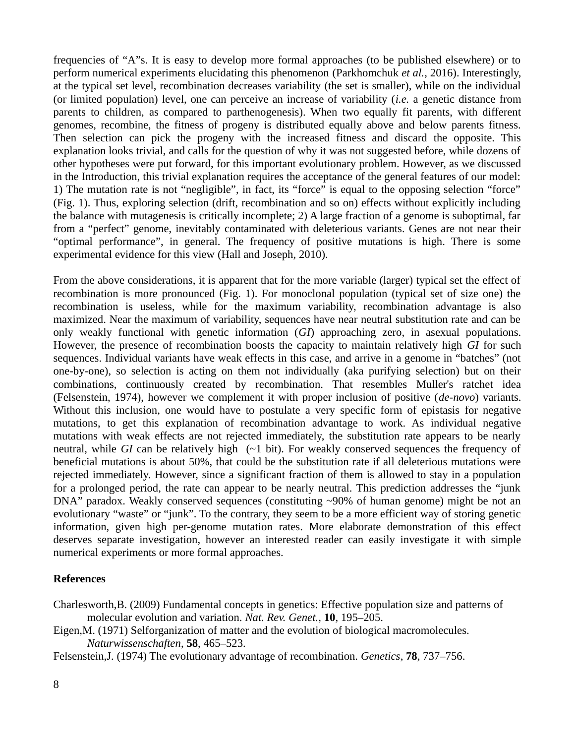frequencies of "A"s. It is easy to develop more formal approaches (to be published elsewhere) or to perform numerical experiments elucidating this phenomenon (Parkhomchuk *et al.*, 2016). Interestingly, at the typical set level, recombination decreases variability (the set is smaller), while on the individual (or limited population) level, one can perceive an increase of variability (*i.e.* a genetic distance from parents to children, as compared to parthenogenesis). When two equally fit parents, with different genomes, recombine, the fitness of progeny is distributed equally above and below parents fitness. Then selection can pick the progeny with the increased fitness and discard the opposite. This explanation looks trivial, and calls for the question of why it was not suggested before, while dozens of other hypotheses were put forward, for this important evolutionary problem. However, as we discussed in the Introduction, this trivial explanation requires the acceptance of the general features of our model: 1) The mutation rate is not "negligible", in fact, its "force" is equal to the opposing selection "force" (Fig. 1). Thus, exploring selection (drift, recombination and so on) effects without explicitly including the balance with mutagenesis is critically incomplete; 2) A large fraction of a genome is suboptimal, far from a "perfect" genome, inevitably contaminated with deleterious variants. Genes are not near their "optimal performance", in general. The frequency of positive mutations is high. There is some experimental evidence for this view (Hall and Joseph, 2010).

From the above considerations, it is apparent that for the more variable (larger) typical set the effect of recombination is more pronounced (Fig. 1). For monoclonal population (typical set of size one) the recombination is useless, while for the maximum variability, recombination advantage is also maximized. Near the maximum of variability, sequences have near neutral substitution rate and can be only weakly functional with genetic information (*GI*) approaching zero, in asexual populations. However, the presence of recombination boosts the capacity to maintain relatively high *GI* for such sequences. Individual variants have weak effects in this case, and arrive in a genome in "batches" (not one-by-one), so selection is acting on them not individually (aka purifying selection) but on their combinations, continuously created by recombination. That resembles Muller's ratchet idea (Felsenstein, 1974), however we complement it with proper inclusion of positive (*de-novo*) variants. Without this inclusion, one would have to postulate a very specific form of epistasis for negative mutations, to get this explanation of recombination advantage to work. As individual negative mutations with weak effects are not rejected immediately, the substitution rate appears to be nearly neutral, while *GI* can be relatively high (~1 bit). For weakly conserved sequences the frequency of beneficial mutations is about 50%, that could be the substitution rate if all deleterious mutations were rejected immediately. However, since a significant fraction of them is allowed to stay in a population for a prolonged period, the rate can appear to be nearly neutral. This prediction addresses the "junk  $DNA"$  paradox. Weakly conserved sequences (constituting  $\sim$ 90% of human genome) might be not an evolutionary "waste" or "junk". To the contrary, they seem to be a more efficient way of storing genetic information, given high per-genome mutation rates. More elaborate demonstration of this effect deserves separate investigation, however an interested reader can easily investigate it with simple numerical experiments or more formal approaches.

## **References**

Charlesworth,B. (2009) Fundamental concepts in genetics: Effective population size and patterns of molecular evolution and variation. *Nat. Rev. Genet.*, **10**, 195–205.

Eigen,M. (1971) Selforganization of matter and the evolution of biological macromolecules. *Naturwissenschaften*, **58**, 465–523.

Felsenstein,J. (1974) The evolutionary advantage of recombination. *Genetics*, **78**, 737–756.